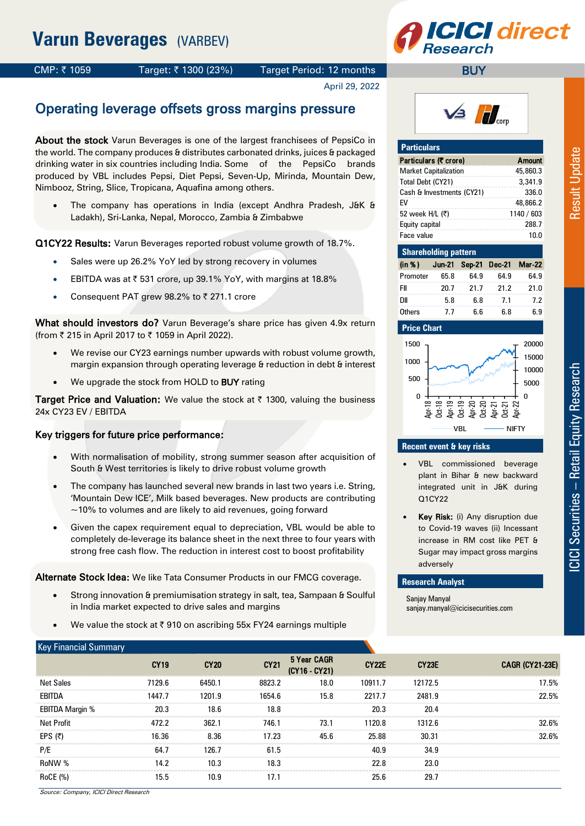

### CMP: ₹1059 Target: ₹1300 (23%) Target Period: 12 months

April 29, 2022

# Operating leverage offsets gross margins pressure

About the stock Varun Beverages is one of the largest franchisees of PepsiCo in the world. The company produces & distributes carbonated drinks, juices & packaged drinking water in six countries including India. Some of the PepsiCo brands produced by VBL includes Pepsi, Diet Pepsi, Seven-Up, Mirinda, Mountain Dew, Nimbooz, String, Slice, Tropicana, Aquafina among others.

 The company has operations in India (except Andhra Pradesh, J&K & Ladakh), Sri-Lanka, Nepal, Morocco, Zambia & Zimbabwe

Q1CY22 Results: Varun Beverages reported robust volume growth of 18.7%.

- Sales were up 26.2% YoY led by strong recovery in volumes
- EBITDA was at  $\bar{\tau}$  531 crore, up 39.1% YoY, with margins at 18.8%
- Consequent PAT grew 98.2% to  $\bar{z}$  271.1 crore

What should investors do? Varun Beverage's share price has given 4.9x return (from ₹ 215 in April 2017 to ₹ 1059 in April 2022).

- We revise our CY23 earnings number upwards with robust volume growth, margin expansion through operating leverage & reduction in debt & interest
- We upgrade the stock from HOLD to **BUY** rating

Target Price and Valuation: We value the stock at  $\bar{\tau}$  1300, valuing the business 24x CY23 EV / EBITDA

### Key triggers for future price performance:

- With normalisation of mobility, strong summer season after acquisition of South & West territories is likely to drive robust volume growth
- The company has launched several new brands in last two years i.e. String, 'Mountain Dew ICE', Milk based beverages. New products are contributing  $\sim$ 10% to volumes and are likely to aid revenues, going forward
- Given the capex requirement equal to depreciation, VBL would be able to completely de-leverage its balance sheet in the next three to four years with strong free cash flow. The reduction in interest cost to boost profitability

Alternate Stock Idea: We like Tata Consumer Products in our FMCG coverage.

- Strong innovation & premiumisation strategy in salt, tea, Sampaan & Soulful in India market expected to drive sales and margins
- We value the stock at  $\overline{\xi}$  910 on ascribing 55x FY24 earnings multiple



**BUY** 

| <b>Particulars</b>           |               |
|------------------------------|---------------|
| Particulars (T crore)        | <b>Amount</b> |
| <b>Market Capitalization</b> | 45,860.3      |
| Total Debt (CY21)            | 3,341.9       |
| Cash & Investments (CY21)    | 336.0         |
| FV                           | 48,866.2      |
| 52 week H/L (₹)              | 1140 / 603    |
| Equity capital               | 288.7         |
| Face value                   | 10.0          |

| <b>Shareholding pattern</b>        |      |      |      |      |  |  |  |  |  |  |
|------------------------------------|------|------|------|------|--|--|--|--|--|--|
| (in %) Jun-21 Sep-21 Dec-21 Mar-22 |      |      |      |      |  |  |  |  |  |  |
| Promoter                           | 65.8 | 64.9 | 64.9 | 64.9 |  |  |  |  |  |  |
| FII                                | 20.7 | 21.7 | 21.2 | 21.0 |  |  |  |  |  |  |
| <b>DII</b>                         | 5.8  | 6.8  | 7.1  | 7.2  |  |  |  |  |  |  |
| Others                             | 7.7  | 6.6  | 6.8  | 6.9  |  |  |  |  |  |  |

### **Price Chart**



### **Recent event & key risks**

- VBL commissioned beverage plant in Bihar & new backward integrated unit in J&K during Q1CY22
- Key Risk: (i) Any disruption due to Covid-19 waves (ii) Incessant increase in RM cost like PET & Sugar may impact gross margins adversely

### **Research Analyst**

Sanjay Manyal sanjay.manyal@icicisecurities.com

| <b>Key Financial Summary</b>                    |             |             |             |                              |              |                   |                        |
|-------------------------------------------------|-------------|-------------|-------------|------------------------------|--------------|-------------------|------------------------|
|                                                 | <b>CY19</b> | <b>CY20</b> | <b>CY21</b> | 5 Year CAGR<br>(CY16 - CY21) | <b>CY22E</b> | CY <sub>23E</sub> | <b>CAGR (CY21-23E)</b> |
| <b>Net Sales</b>                                | 7129.6      | 6450.1      | 8823.2      | 18.0                         | 10911.7      | 12172.5           | 17.5%                  |
| EBITDA                                          | 1447.7      | 1201.9      | 1654.6      | 15.8                         | 2217.7       | 2481.9            | 22.5%                  |
| <b>EBITDA Margin %</b>                          | 20.3        | 18.6        | 18.8        |                              | 20.3         | 20.4              |                        |
| Net Profit                                      | 472.2       | 362.1       | 746.1       | 73.1                         | 1120.8       | 1312.6            | 32.6%                  |
| EPS(₹)                                          | 16.36       | 8.36        | 17.23       | 45.6                         | 25.88        | 30.31             | 32.6%                  |
| P/E                                             | 64.7        | 126.7       | 61.5        |                              | 40.9         | 34.9              |                        |
| RoNW %                                          | 14.2        | 10.3        | 18.3        |                              | 22.8         | 23.0              |                        |
| RoCE (%)<br>Course Company ICICI Direct Descend | 15.5        | 10.9        | 17.1        |                              | 25.6         | 29.7              |                        |

Source: Company, ICICI Direct Research

**Result Update**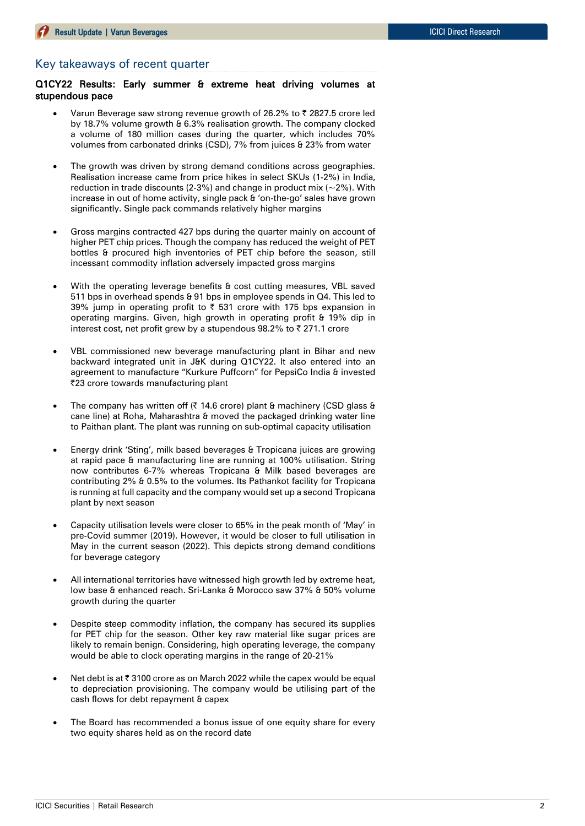### Key takeaways of recent quarter

Q1CY22 Results: Early summer & extreme heat driving volumes at stupendous pace

- Varun Beverage saw strong revenue growth of 26.2% to  $\bar{\tau}$  2827.5 crore led by 18.7% volume growth & 6.3% realisation growth. The company clocked a volume of 180 million cases during the quarter, which includes 70% volumes from carbonated drinks (CSD), 7% from juices & 23% from water
- The growth was driven by strong demand conditions across geographies. Realisation increase came from price hikes in select SKUs (1-2%) in India, reduction in trade discounts (2-3%) and change in product mix ( $\sim$ 2%). With increase in out of home activity, single pack & 'on-the-go' sales have grown significantly. Single pack commands relatively higher margins
- Gross margins contracted 427 bps during the quarter mainly on account of higher PET chip prices. Though the company has reduced the weight of PET bottles & procured high inventories of PET chip before the season, still incessant commodity inflation adversely impacted gross margins
- With the operating leverage benefits & cost cutting measures, VBL saved 511 bps in overhead spends & 91 bps in employee spends in Q4. This led to 39% jump in operating profit to  $\bar{\tau}$  531 crore with 175 bps expansion in operating margins. Given, high growth in operating profit & 19% dip in interest cost, net profit grew by a stupendous 98.2% to  $\bar{\tau}$  271.1 crore
- VBL commissioned new beverage manufacturing plant in Bihar and new backward integrated unit in J&K during Q1CY22. It also entered into an agreement to manufacture "Kurkure Puffcorn" for PepsiCo India & invested |23 crore towards manufacturing plant
- The company has written off ( $\bar{\tau}$  14.6 crore) plant & machinery (CSD glass & cane line) at Roha, Maharashtra & moved the packaged drinking water line to Paithan plant. The plant was running on sub-optimal capacity utilisation
- Energy drink 'Sting', milk based beverages & Tropicana juices are growing at rapid pace & manufacturing line are running at 100% utilisation. String now contributes 6-7% whereas Tropicana & Milk based beverages are contributing 2% & 0.5% to the volumes. Its Pathankot facility for Tropicana is running at full capacity and the company would set up a second Tropicana plant by next season
- Capacity utilisation levels were closer to 65% in the peak month of 'May' in pre-Covid summer (2019). However, it would be closer to full utilisation in May in the current season (2022). This depicts strong demand conditions for beverage category
- All international territories have witnessed high growth led by extreme heat, low base & enhanced reach. Sri-Lanka & Morocco saw 37% & 50% volume growth during the quarter
- Despite steep commodity inflation, the company has secured its supplies for PET chip for the season. Other key raw material like sugar prices are likely to remain benign. Considering, high operating leverage, the company would be able to clock operating margins in the range of 20-21%
- Net debt is at ₹ 3100 crore as on March 2022 while the capex would be equal to depreciation provisioning. The company would be utilising part of the cash flows for debt repayment & capex
- The Board has recommended a bonus issue of one equity share for every two equity shares held as on the record date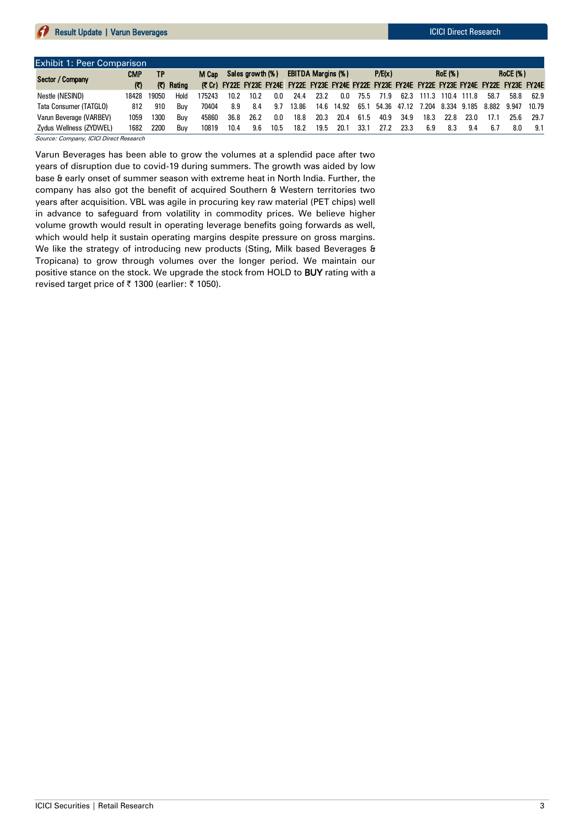| Exhibit 1: Peer Comparison          |             |       |            |        |      |                  |      |                                                                                                 |      |       |      |        |             |      |                   |       |      |                 |       |
|-------------------------------------|-------------|-------|------------|--------|------|------------------|------|-------------------------------------------------------------------------------------------------|------|-------|------|--------|-------------|------|-------------------|-------|------|-----------------|-------|
| Sector / Company                    | <b>CMP</b>  | ΤP    |            | M Cap  |      | Sales growth (%) |      | <b>EBITDA Margins (%)</b>                                                                       |      |       |      | P/E(x) |             |      | <b>RoE</b> (%)    |       |      | <b>RoCE (%)</b> |       |
|                                     | $\mathbf C$ |       | (₹) Rating |        |      |                  |      | (₹Cr) FY22E FY23E FY24E FY22E FY23E FY24E FY22E FY23E FY24E FY22E FY23E FY24E FY22E FY23E FY24E |      |       |      |        |             |      |                   |       |      |                 |       |
| Nestle (NESIND)                     | 18428       | 19050 | Hold       | 175243 | 10.2 | 10.2             | 0.0  | 24.4                                                                                            | 23.2 | 0.0   | 75.5 | 71.9   | 62.3        |      | 111.3 110.4       | 111.8 | 58.7 | 58.8            | 62.9  |
| Tata Consumer (TATGLO)              | 812         | 910   | Buv        | 70404  | 8.9  | 8.4              | 9.7  | 13.86                                                                                           | 14.6 | 14.92 | 65.1 |        | 54.36 47.12 |      | 7.204 8.334 9.185 |       |      | 8.882 9.947     | 10.79 |
| Varun Beverage (VARBEV)             | 1059        | 1300  | Buv        | 45860  | 36.8 | 26.2             | 0.0  | 18.8                                                                                            | 20.3 | 20.4  | 61.5 | 40.9   | 34.9        | 18.3 | 22.8              | 23.0  | 17.1 | 25.6            | 29.7  |
| Zydus Wellness (ZYDWEL)             | 1682        | 2200  | Buv        | 10819  | 10.4 | 9.6              | 10.5 | 18.2                                                                                            | 19.5 | 20.1  | 33.1 | 27.2   | 23.3        | 6.9  | 8.3               | 9.4   | 6.7  | 8.0             | 9.1   |
| $\alpha$ $\alpha$ $\alpha$ $\alpha$ |             |       |            |        |      |                  |      |                                                                                                 |      |       |      |        |             |      |                   |       |      |                 |       |

Source: Company, ICICI Direct Research

Varun Beverages has been able to grow the volumes at a splendid pace after two years of disruption due to covid-19 during summers. The growth was aided by low base & early onset of summer season with extreme heat in North India. Further, the company has also got the benefit of acquired Southern & Western territories two years after acquisition. VBL was agile in procuring key raw material (PET chips) well in advance to safeguard from volatility in commodity prices. We believe higher volume growth would result in operating leverage benefits going forwards as well, which would help it sustain operating margins despite pressure on gross margins. We like the strategy of introducing new products (Sting, Milk based Beverages & Tropicana) to grow through volumes over the longer period. We maintain our positive stance on the stock. We upgrade the stock from HOLD to BUY rating with a revised target price of ₹ 1300 (earlier: ₹ 1050).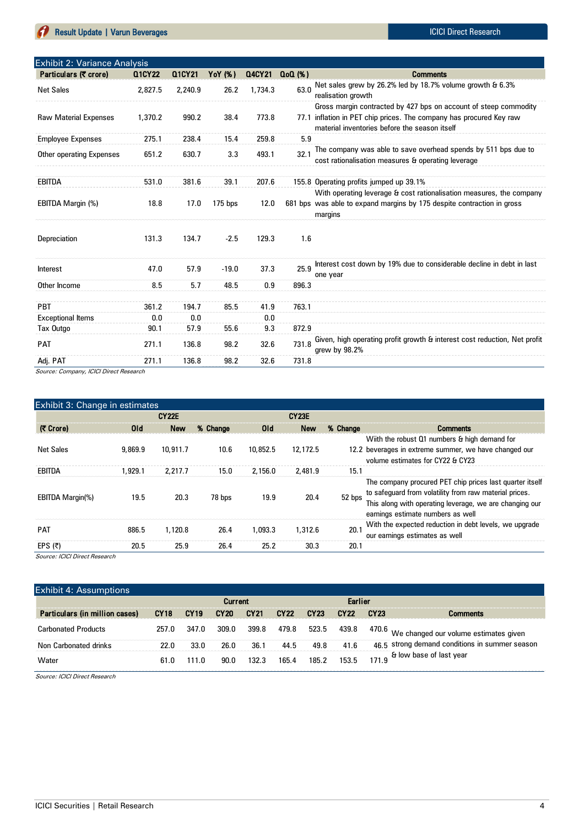# **Result Update | Varun Beverages International Accords and Teacher and Teacher Accords ICICI Direct Research**

| Exhibit 2: Variance Analysis |         |         |           |         |          |                                                                                                                                                                                     |  |  |  |  |  |
|------------------------------|---------|---------|-----------|---------|----------|-------------------------------------------------------------------------------------------------------------------------------------------------------------------------------------|--|--|--|--|--|
| Particulars (₹ crore)        | Q1CY22  | Q1CY21  | YoY (%)   | Q4CY21  | $Q0(\%)$ | <b>Comments</b>                                                                                                                                                                     |  |  |  |  |  |
| <b>Net Sales</b>             | 2,827.5 | 2,240.9 | 26.2      | 1,734.3 | 63.0     | Net sales grew by 26.2% led by 18.7% volume growth & 6.3%<br>realisation growth                                                                                                     |  |  |  |  |  |
| <b>Raw Material Expenses</b> | 1,370.2 | 990.2   | 38.4      | 773.8   | 77.1     | Gross margin contracted by 427 bps on account of steep commodity<br>inflation in PET chip prices. The company has procured Key raw<br>material inventories before the season itself |  |  |  |  |  |
| <b>Employee Expenses</b>     | 275.1   | 238.4   | 15.4      | 259.8   | 5.9      |                                                                                                                                                                                     |  |  |  |  |  |
| Other operating Expenses     | 651.2   | 630.7   | 3.3       | 493.1   | 32.1     | The company was able to save overhead spends by 511 bps due to<br>cost rationalisation measures & operating leverage                                                                |  |  |  |  |  |
| <b>EBITDA</b>                | 531.0   | 381.6   | 39.1      | 207.6   |          | 155.8 Operating profits jumped up 39.1%                                                                                                                                             |  |  |  |  |  |
| EBITDA Margin (%)            | 18.8    | 17.0    | $175$ bps | 12.0    |          | With operating leverage & cost rationalisation measures, the company<br>681 bps was able to expand margins by 175 despite contraction in gross<br>margins                           |  |  |  |  |  |
| Depreciation                 | 131.3   | 134.7   | $-2.5$    | 129.3   | 1.6      |                                                                                                                                                                                     |  |  |  |  |  |
| <b>Interest</b>              | 47.0    | 57.9    | $-19.0$   | 37.3    | 25.9     | Interest cost down by 19% due to considerable decline in debt in last<br>one year                                                                                                   |  |  |  |  |  |
| Other Income                 | 8.5     | 5.7     | 48.5      | 0.9     | 896.3    |                                                                                                                                                                                     |  |  |  |  |  |
| <b>PBT</b>                   | 361.2   | 194.7   | 85.5      | 41.9    | 763.1    |                                                                                                                                                                                     |  |  |  |  |  |
| <b>Exceptional Items</b>     | 0.0     | 0.0     |           | 0.0     |          |                                                                                                                                                                                     |  |  |  |  |  |
| Tax Outgo                    | 90.1    | 57.9    | 55.6      | 9.3     | 872.9    |                                                                                                                                                                                     |  |  |  |  |  |
| <b>PAT</b>                   | 271.1   | 136.8   | 98.2      | 32.6    | 731.8    | Given, high operating profit growth & interest cost reduction, Net profit<br>grew by $98.2%$                                                                                        |  |  |  |  |  |
| Adj. PAT                     | 271.1   | 136.8   | 98.2      | 32.6    | 731.8    |                                                                                                                                                                                     |  |  |  |  |  |

Source: Company, ICICI Direct Research

| Exhibit 3: Change in estimates |            |              |          |            |              |          |                                                                                                                                                                                                                    |  |  |  |  |
|--------------------------------|------------|--------------|----------|------------|--------------|----------|--------------------------------------------------------------------------------------------------------------------------------------------------------------------------------------------------------------------|--|--|--|--|
|                                |            | <b>CY22E</b> |          |            | <b>CY23E</b> |          |                                                                                                                                                                                                                    |  |  |  |  |
| (そ Crore)                      | <b>Old</b> | <b>New</b>   | % Change | <b>Old</b> | <b>New</b>   | % Change | <b>Comments</b>                                                                                                                                                                                                    |  |  |  |  |
| <b>Net Sales</b>               | 9,869.9    | 10.911.7     | 10.6     | 10,852.5   | 12,172.5     |          | Wiith the robust Q1 numbers & high demand for<br>12.2 beverages in extreme summer, we have changed our<br>volume estimates for CY22 & CY23                                                                         |  |  |  |  |
| EBITDA                         | 1.929.1    | 2.217.7      | 15.0     | 2,156.0    | 2.481.9      | 15.1     |                                                                                                                                                                                                                    |  |  |  |  |
| <b>EBITDA Margin(%)</b>        | 19.5       | 20.3         | 78 bps   | 19.9       | 20.4         | 52 bps   | The company procured PET chip prices last quarter itself<br>to safeguard from volatility from raw material prices.<br>This along with operating leverage, we are changing our<br>earnings estimate numbers as well |  |  |  |  |
| <b>PAT</b>                     | 886.5      | 1,120.8      | 26.4     | 1.093.3    | 1,312.6      | 20.1     | With the expected reduction in debt levels, we upgrade<br>our earnings estimates as well                                                                                                                           |  |  |  |  |
| EPS $(7)$                      | 20.5       | 25.9         | 26.4     | 25.2       | 30.3         | 20.1     |                                                                                                                                                                                                                    |  |  |  |  |

Source: ICICI Direct Research

| Exhibit 4: Assumptions         |             |             |                |                  |             |                  |             |                  |                                                |  |  |  |
|--------------------------------|-------------|-------------|----------------|------------------|-------------|------------------|-------------|------------------|------------------------------------------------|--|--|--|
|                                |             |             | <b>Current</b> |                  |             | Earlier          |             |                  |                                                |  |  |  |
| Particulars (in million cases) | <b>CY18</b> | <b>CY19</b> | <b>CY20</b>    | CY <sub>21</sub> | <b>CY22</b> | CY <sub>23</sub> | <b>CY22</b> | CY <sub>23</sub> | Comments                                       |  |  |  |
| Carbonated Products            | 257.0       | 347.0       | 309.0          | 399.8            | 479.8       | 523.5            | 439.8       |                  | 470.6 We changed our volume estimates given    |  |  |  |
| Non Carbonated drinks          | 22.0        | 33.0        | 26.0           | 36.1             | 44.5        | 49.8             | 41.6        |                  | 46.5 strong demand conditions in summer season |  |  |  |
| Water                          | 61.0        | 111.0       | 90.0           | 132.3            | 165.4       | 185.2            | 153.5       | 171.9            | & low base of last year                        |  |  |  |

Source: ICICI Direct Research

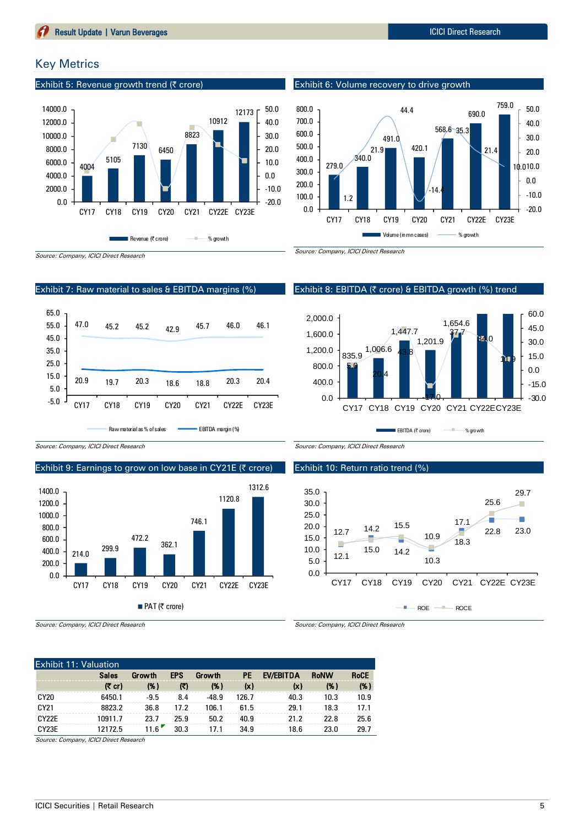# Key Metrics

Exhibit 5: Revenue growth trend (₹ crore)



Exhibit 6: Volume recovery to drive growth



Exhibit 8: EBITDA (₹ crore) & EBITDA growth (%) trend

1,447.7

43.8

1,201.9

-17.0

CY17 CY18 CY19 CY20 CY21 CY22ECY23E

EBITDA (₹ crore) **Example 1** % growth

1,654.6

37.7

34.0

11.9

-30.0 -15.0 0.0 15.0 30.0 45.0 60.0

Source: Company, ICICI Direct Research

### Exhibit 7: Raw material to sales & EBITDA margins (%)



Raw material as % of sales **EBITDA** margin (%)

Source: Company, ICICI Direct Research

# Exhibit 9: Earnings to grow on low base in CY21E ( $\bar{\tau}$  crore)



Source: Company, ICICI Direct Research

Source: Company, ICICI Direct Research

835.9

5.0

0.0 400.0 800.0 1,200.0 1,600.0 2,000.0

1,006.6

20.4

**College** 

### Exhibit 10: Return ratio trend (%)



Source: Company, ICICI Direct Research

| <b>Exhibit 11: Valuation</b> |              |                   |            |               |       |           |             |             |  |  |
|------------------------------|--------------|-------------------|------------|---------------|-------|-----------|-------------|-------------|--|--|
|                              | <b>Sales</b> | Growth            | <b>EPS</b> | <b>Growth</b> | РE    | EV/EBITDA | <b>RoNW</b> | <b>RoCE</b> |  |  |
|                              | (₹ cr)       | (%)               | にり         | (% )          | (x)   | (x)       | (%)         | (% )        |  |  |
| <b>CY20</b>                  | 6450.1       | $-9.5$            | 8.4        | $-48.9$       | 126.7 | 40.3      | 10.3        | 10.9        |  |  |
| CY21                         | 8823.2       | 36.8              | 17.2       | 106.1         | 61.5  | 29.1      | 18.3        | 17.1        |  |  |
| CY <sub>27</sub> F           | 10911.7      | 23.7              | 25.9       | 50.2          | 40.9  | 21.2      | 22.8        | 25.6        |  |  |
| CY <sub>23</sub> E           | 12172.5      | 11 6 <sup>"</sup> | 30.3       | 171           | 34.9  | 18.6      | 23.0        | 29.7        |  |  |

Source: Company, ICICI Direct Research

**Result Update | Varun Beverages International Activities International Activities ICICI Direct Research**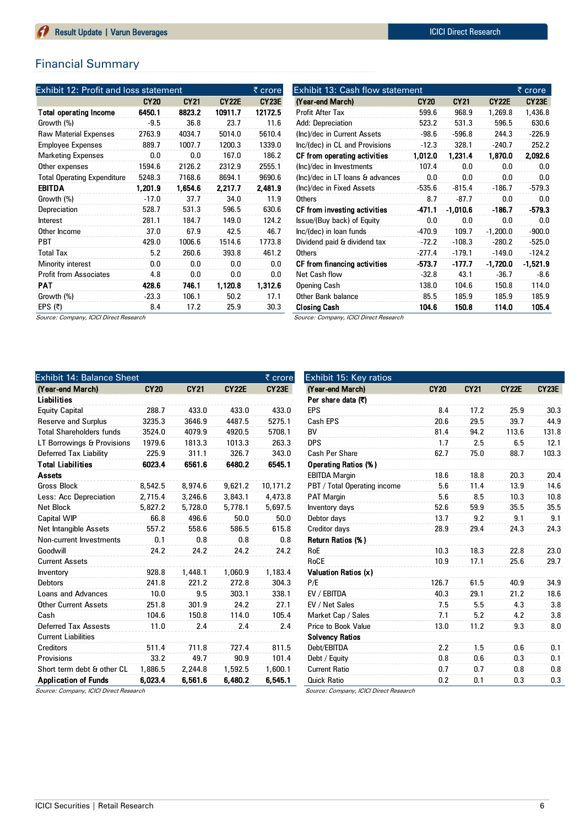# Financial Summary

| <b>Exhibit 12: Profit and loss statement</b> |             |             |                    | ₹ crore      |
|----------------------------------------------|-------------|-------------|--------------------|--------------|
|                                              | <b>CY20</b> | <b>CY21</b> | CY <sub>22</sub> E | <b>CY23E</b> |
| <b>Total operating Income</b>                | 6450.1      | 8823.2      | 10911.7            | 12172.5      |
| Growth (%)                                   | $-9.5$      | 36.8        | 23.7               | 11.6         |
| <b>Raw Material Expenses</b>                 | 2763.9      | 4034.7      | 5014.0             | 5610.4       |
| <b>Employee Expenses</b>                     | 889.7       | 1007.7      | 1200.3             | 1339.0       |
| <b>Marketing Expenses</b>                    | 0.0         | 0.0         | 167.0              | 186.2        |
| Other expenses                               | 1594.6      | 2126.2      | 2312.9             | 2555.1       |
| <b>Total Operating Expenditure</b>           | 5248.3      | 7168.6      | 8694.1             | 9690.6       |
| <b>EBITDA</b>                                | 1,201.9     | 1,654.6     | 2,217.7            | 2,481.9      |
| Growth (%)                                   | $-17.0$     | 37.7        | 34.0               | 11.9         |
| Depreciation                                 | 528.7       | 531.3       | 596.5              | 630.6        |
| Interest                                     | 281.1       | 184.7       | 149.0              | 124.2        |
| Other Income                                 | 37.0        | 67.9        | 42.5               | 46.7         |
| <b>PBT</b>                                   | 429.0       | 1006.6      | 1514.6             | 1773.8       |
| <b>Total Tax</b>                             | 5.2         | 260.6       | 393.8              | 461.2        |
| Minority interest                            | 0.0         | 0.0         | 0.0                | 0.0          |
| <b>Profit from Associates</b>                | 4.8         | 0.0         | 0.0                | 0.0          |
| PAT                                          | 428.6       | 746.1       | 1,120.8            | 1,312.6      |
| Growth (%)                                   | $-23.3$     | 106.1       | 50.2               | 17.1         |
| EPS $(5)$                                    | 8.4         | 17.2        | 25.9               | 30.3         |

| Exhibit 13: Cash flow statement<br>₹ crore |             |            |                    |                   |  |  |  |  |  |  |
|--------------------------------------------|-------------|------------|--------------------|-------------------|--|--|--|--|--|--|
| (Year-end March)                           | <b>CY20</b> | CY21       | CY <sub>22</sub> E | CY <sub>23E</sub> |  |  |  |  |  |  |
| <b>Profit After Tax</b>                    | 599.6       | 968.9      | 1,269.8            | 1,436.8           |  |  |  |  |  |  |
| Add: Depreciation                          | 523.2       | 531.3      | 596.5              | 630.6             |  |  |  |  |  |  |
| (Inc)/dec in Current Assets                | $-98.6$     | $-596.8$   | 244.3              | $-226.9$          |  |  |  |  |  |  |
| Inc/(dec) in CL and Provisions             | $-12.3$     | 328.1      | $-240.7$           | 252.2             |  |  |  |  |  |  |
| CF from operating activities               | 1,012.0     | 1,231.4    | 1,870.0            | 2,092.6           |  |  |  |  |  |  |
| (Inc)/dec in Investments                   | 107.4       | 0.0        | 0.0                | 0.0               |  |  |  |  |  |  |
| (Inc)/dec in LT loans & advances           | 0.0         | 0.0        | 0.0                | 0.0               |  |  |  |  |  |  |
| (Inc)/dec in Fixed Assets                  | $-535.6$    | $-815.4$   | $-186.7$           | $-579.3$          |  |  |  |  |  |  |
| <b>Others</b>                              | 8.7         | $-87.7$    | 0.0                | 0.0               |  |  |  |  |  |  |
| CF from investing activities               | $-471.1$    | $-1.010.6$ | $-186.7$           | $-579.3$          |  |  |  |  |  |  |
| Issue/(Buy back) of Equity                 | 0.0         | 0.0        | 0.0                | 0.0               |  |  |  |  |  |  |
| Inc/(dec) in loan funds                    | $-470.9$    | 109.7      | $-1,200.0$         | $-900.0$          |  |  |  |  |  |  |
| Dividend paid & dividend tax               | $-72.2$     | $-108.3$   | $-280.2$           | $-525.0$          |  |  |  |  |  |  |
| <b>Others</b>                              | $-277.4$    | $-179.1$   | $-149.0$           | $-124.2$          |  |  |  |  |  |  |
| CF from financing activities               | $-573.7$    | -177.7     | $-1,720.0$         | $-1,521.9$        |  |  |  |  |  |  |
| Net Cash flow                              | $-32.8$     | 43.1       | $-36.7$            | $-8.6$            |  |  |  |  |  |  |
| Opening Cash                               | 138.0       | 104.6      | 150.8              | 114.0             |  |  |  |  |  |  |
| Other Bank balance                         | 85.5        | 185.9      | 185.9              | 185.9             |  |  |  |  |  |  |
| Closing Cash                               | 104.6       | 150.8      | 114.0              | 105.4             |  |  |  |  |  |  |
| Source: Company, ICICI Direct Research     |             |            |                    |                   |  |  |  |  |  |  |

Source: Company, ICICI Direct Research

| Exhibit 14: Balance Sheet       |             |             |              |          |  |  |  |  |  |
|---------------------------------|-------------|-------------|--------------|----------|--|--|--|--|--|
| (Year-end March)                | <b>CY20</b> | <b>CY21</b> | <b>CY22E</b> | CY23E    |  |  |  |  |  |
| <b>Liabilities</b>              |             |             |              |          |  |  |  |  |  |
| <b>Equity Capital</b>           | 288.7       | 433.0       | 433.0        | 433.0    |  |  |  |  |  |
| <b>Reserve and Surplus</b>      | 3235.3      | 3646.9      | 4487.5       | 5275.1   |  |  |  |  |  |
| <b>Total Shareholders funds</b> | 3524.0      | 4079.9      | 4920.5       | 5708.1   |  |  |  |  |  |
| LT Borrowings & Provisions      | 1979.6      | 1813.3      | 1013.3       | 263.3    |  |  |  |  |  |
| Deferred Tax Liability          | 225.9       | 311.1       | 326.7        | 343.0    |  |  |  |  |  |
| <b>Total Liabilities</b>        | 6023.4      | 6561.6      | 6480.2       | 6545.1   |  |  |  |  |  |
| <b>Assets</b>                   |             |             |              |          |  |  |  |  |  |
| <b>Gross Block</b>              | 8,542.5     | 8,974.6     | 9,621.2      | 10,171.2 |  |  |  |  |  |
| Less: Acc Depreciation          | 2,715.4     | 3,246.6     | 3,843.1      | 4,473.8  |  |  |  |  |  |
| <b>Net Block</b>                | 5,827.2     | 5,728.0     | 5,778.1      | 5,697.5  |  |  |  |  |  |
| <b>Capital WIP</b>              | 66.8        | 496.6       | 50.0         | 50.0     |  |  |  |  |  |
| <b>Net Intangible Assets</b>    | 557.2       | 558.6       | 586.5        | 615.8    |  |  |  |  |  |
| Non-current Investments         | 0.1         | 0.8         | 0.8          | 0.8      |  |  |  |  |  |
| Goodwill                        | 24.2        | 24.2        | 24.2         | 24.2     |  |  |  |  |  |
| <b>Current Assets</b>           |             |             |              |          |  |  |  |  |  |
| Inventory                       | 928.8       | 1.448.1     | 1,060.9      | 1,183.4  |  |  |  |  |  |
| <b>Debtors</b>                  | 241.8       | 221.2       | 272.8        | 304.3    |  |  |  |  |  |
| <b>Loans and Advances</b>       | 10.0        | 9.5         | 303.1        | 338.1    |  |  |  |  |  |
| <b>Other Current Assets</b>     | 251.8       | 301.9       | 24.2         | 27.1     |  |  |  |  |  |
| Cash                            | 104.6       | 150.8       | 114.0        | 105.4    |  |  |  |  |  |
| <b>Deferred Tax Assests</b>     | 11.0        | 2.4         | 2.4          | 2.4      |  |  |  |  |  |
| <b>Current Liabilities</b>      |             |             |              |          |  |  |  |  |  |
| <b>Creditors</b>                | 511.4       | 711.8       | 727.4        | 811.5    |  |  |  |  |  |
| Provisions                      | 33.2        | 49.7        | 90.9         | 101.4    |  |  |  |  |  |
| Short term debt & other CL      | 1,886.5     | 2,244.8     | 1,592.5      | 1,600.1  |  |  |  |  |  |
| <b>Application of Funds</b>     | 6.023.4     | 6,561.6     | 6,480.2      | 6,545.1  |  |  |  |  |  |

(Year-end March) CY20 CY21 CY22E CY23E Per share data (₹) EPS 8.4 17.2 25.9 30.3 Cash EPS 20.6 29.5 39.7 44.9 BV 81.4 94.2 113.6 131.8 DPS 1.7 2.5 6.5 12.1 Cash Per Share 62.7 75.0 88.7 103.3 Operating Ratios (% ) EBITDA Margin 18.6 18.8 20.3 20.4 PBT / Total Operating income 5.6 11.4 13.9 14.6 PAT Margin 5.6 8.5 10.3 10.8 Inventory days 52.6 59.9 35.5 35.5 Debtor days 13.7 9.2 9.1 9.1 Creditor days 28.9 29.4 24.3 24.3 Return Ratios (% ) RoE 10.3 18.3 22.8 23.0 RoCE 10.9 17.1 25.6 29.7 Valuation Ratios (x) P/E 126.7 61.5 40.9 34.9 EV / EBITDA 40.3 29.1 21.2 18.6 EV / Net Sales 7.5 5.5 4.3 3.8 Market Cap / Sales 7.1 5.2 4.2 3.8 Price to Book Value 13.0 11.2 9.3 8.0 Solvency Ratios Debt/EBITDA 2.2 1.5 0.6 0.1 Debt / Equity 0.8 0.6 0.3 0.1 Current Ratio 0.7 0.7 0.8 0.8 Quick Ratio 0.2 0.1 0.3 0.3

Source: Company, ICICI Direct Research

Source: Company, ICICI Direct Research

Exhibit 15: Key ratios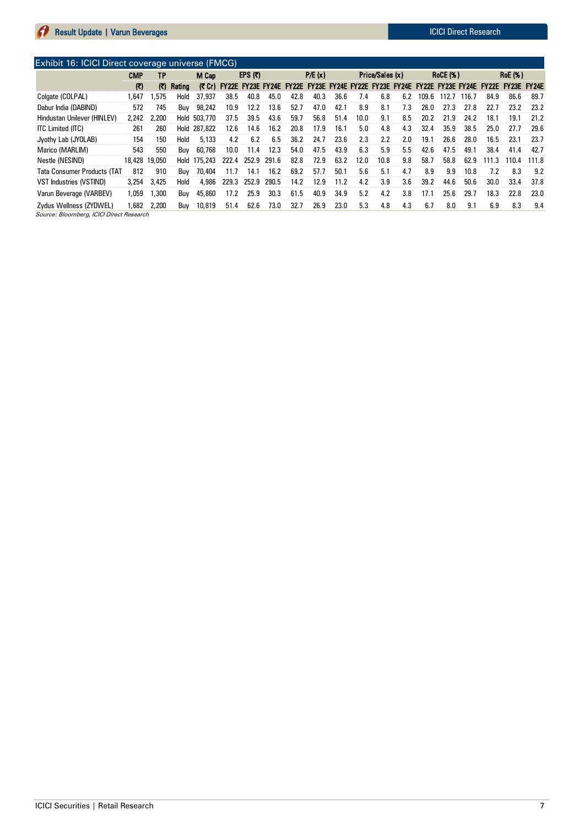Exhibit 16: ICICI Direct coverage universe (FMCG) CMP TP M Cap (₹) (₹) Rating (₹ Cr) FY22E FY23E FY24E FY22E FY23E FY24E FY23E FY24E FY22E FY23E FY24E FY22E FY23E FY24E Colgate (COLPAL) 1,647 1,575 Hold 37,937 38.5 40.8 45.0 42.8 40.3 36.6 7.4 6.8 6.2 109.6 112.7 116.7 84.9 86.6 89.7 Dabur India (DABIND) 572 745 Buy 98,242 10.9 12.2 13.6 52.7 47.0 42.1 8.9 8.1 7.3 26.0 27.3 27.8 22.7 23.2 23.2 Hindustan Unilever (HINLEV) 2,242 2,200 Hold 503,770 37.5 39.5 43.6 59.7 56.8 51.4 10.0 9.1 8.5 20.2 21.9 24.2 18.1 19.1 21.2 ITC Limited (ITC) 261 260 Hold 287,822 12.6 14.6 16.2 20.8 17.9 16.1 5.0 4.8 4.3 32.4 35.9 38.5 25.0 27.7 29.6 Jyothy Lab (JYOLAB) 154 150 Hold 5,133 4.2 6.2 6.5 36.2 24.7 23.6 2.3 2.2 2.0 19.1 26.6 28.0 16.5 23.1 23.7 Marico (MARLIM) 543 550 Buy 60,768 10.0 11.4 12.3 54.0 47.5 43.9 6.3 5.9 5.5 42.6 47.5 49.1 38.4 41.4 42.7 Nestle (NESIND) 18,428 19,050 Hold 175,243 222.4 252.9 291.6 82.8 72.9 63.2 12.0 10.8 9.8 58.7 58.8 62.9 111.3 110.4 111.8 Tata Consumer Products (TAT 812 910 Buy 70,404 11.7 14.1 16.2 69.2 57.7 50.1 5.6 5.1 4.7 8.9 9.9 10.8 7.2 8.3 9.2 VST Industries (VSTIND) 3,254 3,425 Hold 4,986 229.3 252.9 290.5 14.2 12.9 11.2 4.2 3.9 3.6 39.2 44.6 50.6 30.0 33.4 37.8 Varun Beverage (VARBEV) 1,059 1,300 Buy 45,860 17.2 25.9 30.3 61.5 40.9 34.9 5.2 4.2 3.8 17.1 25.6 29.7 18.3 22.8 23.0 Zydus Wellness (ZYDWEL) 1,682 2,200 Buy 10,819 51.4 62.6 73.0 32.7 26.9 23.0 5.3 4.8 4.3 6.7 8.0 9.1 6.9 8.3 9.4  $EPS$  (₹) P/E (x) Price/Sales (x) RoCE (%) RoE (%)

Source: Bloomberg, ICICI Direct Research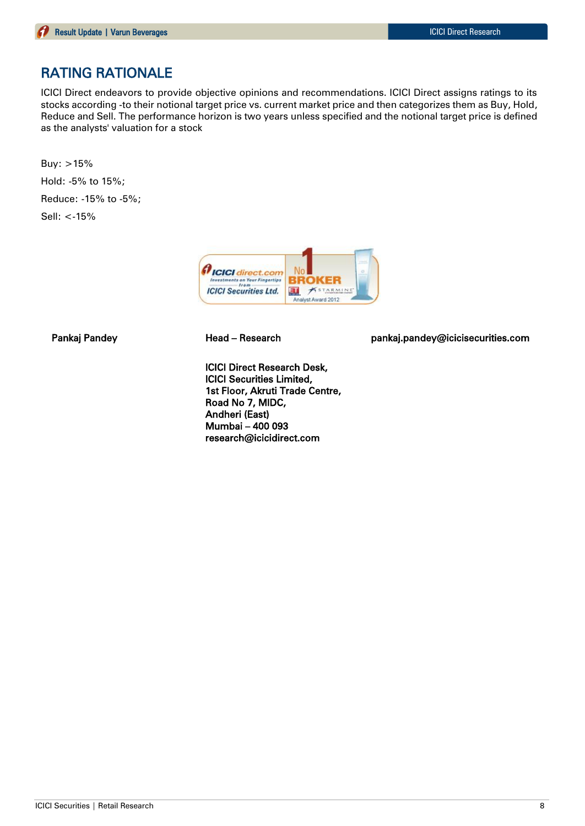# RATING RATIONALE

ICICI Direct endeavors to provide objective opinions and recommendations. ICICI Direct assigns ratings to its stocks according -to their notional target price vs. current market price and then categorizes them as Buy, Hold, Reduce and Sell. The performance horizon is two years unless specified and the notional target price is defined as the analysts' valuation for a stock

Buy: >15% Hold: -5% to 15%; Reduce: -15% to -5%; Sell: <-15%



ICICI Direct Research Desk, ICICI Securities Limited, 1st Floor, Akruti Trade Centre, Road No 7, MIDC, Andheri (East) Mumbai – 400 093 research@icicidirect.com

Pankaj Pandey **Head – Research head pankaj.pandey@icicisecurities.com**